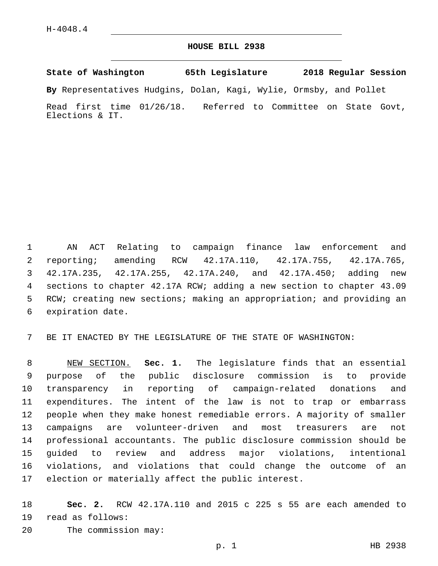## **HOUSE BILL 2938**

**State of Washington 65th Legislature 2018 Regular Session**

**By** Representatives Hudgins, Dolan, Kagi, Wylie, Ormsby, and Pollet

Read first time 01/26/18. Referred to Committee on State Govt, Elections & IT.

 AN ACT Relating to campaign finance law enforcement and reporting; amending RCW 42.17A.110, 42.17A.755, 42.17A.765, 42.17A.235, 42.17A.255, 42.17A.240, and 42.17A.450; adding new sections to chapter 42.17A RCW; adding a new section to chapter 43.09 RCW; creating new sections; making an appropriation; and providing an 6 expiration date.

BE IT ENACTED BY THE LEGISLATURE OF THE STATE OF WASHINGTON:

 NEW SECTION. **Sec. 1.** The legislature finds that an essential purpose of the public disclosure commission is to provide transparency in reporting of campaign-related donations and expenditures. The intent of the law is not to trap or embarrass people when they make honest remediable errors. A majority of smaller campaigns are volunteer-driven and most treasurers are not professional accountants. The public disclosure commission should be guided to review and address major violations, intentional violations, and violations that could change the outcome of an election or materially affect the public interest.

 **Sec. 2.** RCW 42.17A.110 and 2015 c 225 s 55 are each amended to 19 read as follows: 20 The commission may: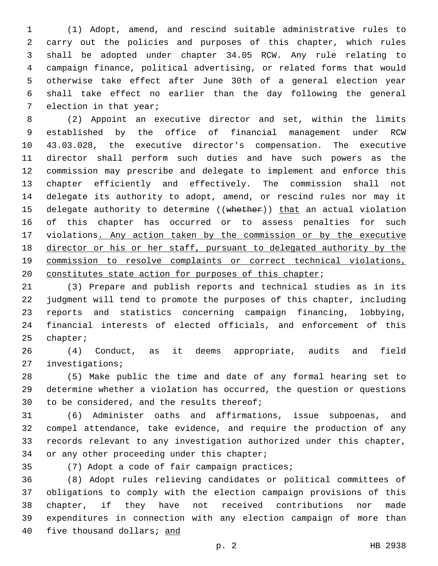(1) Adopt, amend, and rescind suitable administrative rules to carry out the policies and purposes of this chapter, which rules shall be adopted under chapter 34.05 RCW. Any rule relating to campaign finance, political advertising, or related forms that would otherwise take effect after June 30th of a general election year shall take effect no earlier than the day following the general 7 election in that year;

 (2) Appoint an executive director and set, within the limits established by the office of financial management under RCW 43.03.028, the executive director's compensation. The executive director shall perform such duties and have such powers as the commission may prescribe and delegate to implement and enforce this chapter efficiently and effectively. The commission shall not delegate its authority to adopt, amend, or rescind rules nor may it 15 delegate authority to determine ((whether)) that an actual violation of this chapter has occurred or to assess penalties for such violations. Any action taken by the commission or by the executive director or his or her staff, pursuant to delegated authority by the commission to resolve complaints or correct technical violations, constitutes state action for purposes of this chapter;

 (3) Prepare and publish reports and technical studies as in its judgment will tend to promote the purposes of this chapter, including reports and statistics concerning campaign financing, lobbying, financial interests of elected officials, and enforcement of this 25 chapter;

 (4) Conduct, as it deems appropriate, audits and field 27 investigations;

 (5) Make public the time and date of any formal hearing set to determine whether a violation has occurred, the question or questions 30 to be considered, and the results thereof;

 (6) Administer oaths and affirmations, issue subpoenas, and compel attendance, take evidence, and require the production of any records relevant to any investigation authorized under this chapter, 34 or any other proceeding under this chapter;

35 (7) Adopt a code of fair campaign practices;

 (8) Adopt rules relieving candidates or political committees of obligations to comply with the election campaign provisions of this chapter, if they have not received contributions nor made expenditures in connection with any election campaign of more than five thousand dollars; and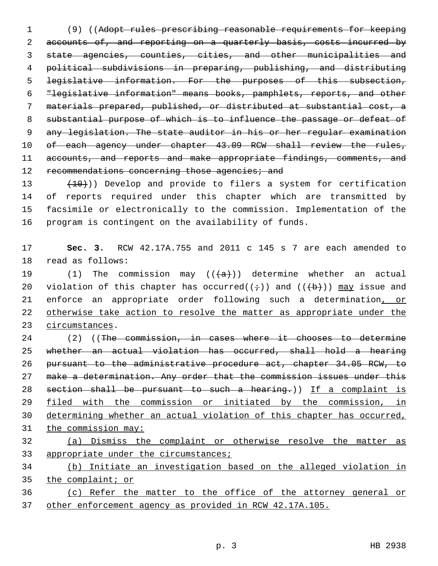(9) ((Adopt rules prescribing reasonable requirements for keeping accounts of, and reporting on a quarterly basis, costs incurred by state agencies, counties, cities, and other municipalities and political subdivisions in preparing, publishing, and distributing legislative information. For the purposes of this subsection, "legislative information" means books, pamphlets, reports, and other materials prepared, published, or distributed at substantial cost, a substantial purpose of which is to influence the passage or defeat of any legislation. The state auditor in his or her regular examination 10 of each agency under chapter 43.09 RCW shall review the rules, 11 accounts, and reports and make appropriate findings, comments, and 12 recommendations concerning those agencies; and

 $(10)$ ) Develop and provide to filers a system for certification of reports required under this chapter which are transmitted by facsimile or electronically to the commission. Implementation of the program is contingent on the availability of funds.

 **Sec. 3.** RCW 42.17A.755 and 2011 c 145 s 7 are each amended to 18 read as follows:

19 (1) The commission may  $((+a))$  determine whether an actual 20 violation of this chapter has occurred( $(\div)$ ) and ( $(\div)$ )) may issue and enforce an appropriate order following such a determination, or otherwise take action to resolve the matter as appropriate under the 23 circumstances.

 (2) ((The commission, in cases where it chooses to determine whether an actual violation has occurred, shall hold a hearing pursuant to the administrative procedure act, chapter 34.05 RCW, to make a determination. Any order that the commission issues under this 28 section shall be pursuant to such a hearing.)) If a complaint is filed with the commission or initiated by the commission, in determining whether an actual violation of this chapter has occurred, the commission may: (a) Dismiss the complaint or otherwise resolve the matter as

33 appropriate under the circumstances;

 (b) Initiate an investigation based on the alleged violation in the complaint; or

 (c) Refer the matter to the office of the attorney general or other enforcement agency as provided in RCW 42.17A.105.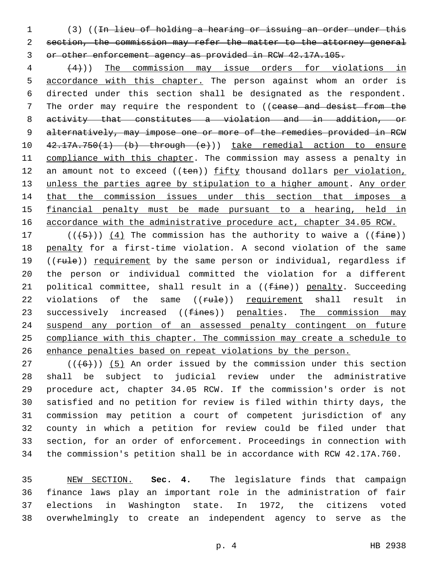(3) ((In lieu of holding a hearing or issuing an order under this section, the commission may refer the matter to the attorney general or other enforcement agency as provided in RCW 42.17A.105.

 (4))) The commission may issue orders for violations in accordance with this chapter. The person against whom an order is directed under this section shall be designated as the respondent. 7 The order may require the respondent to ((cease and desist from the activity that constitutes a violation and in addition, or 9 alternatively, may impose one or more of the remedies provided in RCW 42.17A.750(1) (b) through (e))) take remedial action to ensure 11 compliance with this chapter. The commission may assess a penalty in 12 an amount not to exceed (( $t$ en)) fifty thousand dollars per violation, unless the parties agree by stipulation to a higher amount. Any order that the commission issues under this section that imposes a financial penalty must be made pursuant to a hearing, held in 16 accordance with the administrative procedure act, chapter 34.05 RCW.

17 ( $(\frac{5}{1})$ ) (4) The commission has the authority to waive a (( $\frac{2}{1}$ ) penalty for a first-time violation. A second violation of the same 19 ((rule)) requirement by the same person or individual, regardless if the person or individual committed the violation for a different 21 political committee, shall result in a  $((fine))$  penalty. Succeeding 22 violations of the same ((rule)) requirement shall result in 23 successively increased ((fines)) penalties. The commission may suspend any portion of an assessed penalty contingent on future compliance with this chapter. The commission may create a schedule to enhance penalties based on repeat violations by the person.

 (( $(46)$ )) (5) An order issued by the commission under this section shall be subject to judicial review under the administrative procedure act, chapter 34.05 RCW. If the commission's order is not satisfied and no petition for review is filed within thirty days, the commission may petition a court of competent jurisdiction of any county in which a petition for review could be filed under that section, for an order of enforcement. Proceedings in connection with the commission's petition shall be in accordance with RCW 42.17A.760.

 NEW SECTION. **Sec. 4.** The legislature finds that campaign finance laws play an important role in the administration of fair elections in Washington state. In 1972, the citizens voted overwhelmingly to create an independent agency to serve as the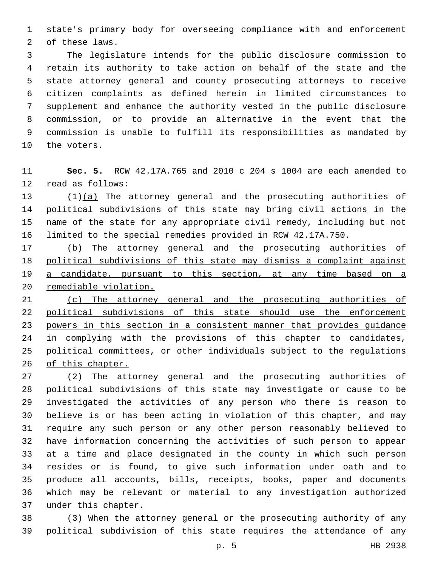state's primary body for overseeing compliance with and enforcement 2 of these laws.

 The legislature intends for the public disclosure commission to retain its authority to take action on behalf of the state and the state attorney general and county prosecuting attorneys to receive citizen complaints as defined herein in limited circumstances to supplement and enhance the authority vested in the public disclosure commission, or to provide an alternative in the event that the commission is unable to fulfill its responsibilities as mandated by 10 the voters.

 **Sec. 5.** RCW 42.17A.765 and 2010 c 204 s 1004 are each amended to 12 read as follows:

 $(1)(a)$  The attorney general and the prosecuting authorities of political subdivisions of this state may bring civil actions in the name of the state for any appropriate civil remedy, including but not limited to the special remedies provided in RCW 42.17A.750.

 (b) The attorney general and the prosecuting authorities of political subdivisions of this state may dismiss a complaint against 19 a candidate, pursuant to this section, at any time based on a remediable violation.

 (c) The attorney general and the prosecuting authorities of 22 political subdivisions of this state should use the enforcement powers in this section in a consistent manner that provides guidance 24 in complying with the provisions of this chapter to candidates, political committees, or other individuals subject to the regulations 26 of this chapter.

 (2) The attorney general and the prosecuting authorities of political subdivisions of this state may investigate or cause to be investigated the activities of any person who there is reason to believe is or has been acting in violation of this chapter, and may require any such person or any other person reasonably believed to have information concerning the activities of such person to appear at a time and place designated in the county in which such person resides or is found, to give such information under oath and to produce all accounts, bills, receipts, books, paper and documents which may be relevant or material to any investigation authorized 37 under this chapter.

 (3) When the attorney general or the prosecuting authority of any political subdivision of this state requires the attendance of any

p. 5 HB 2938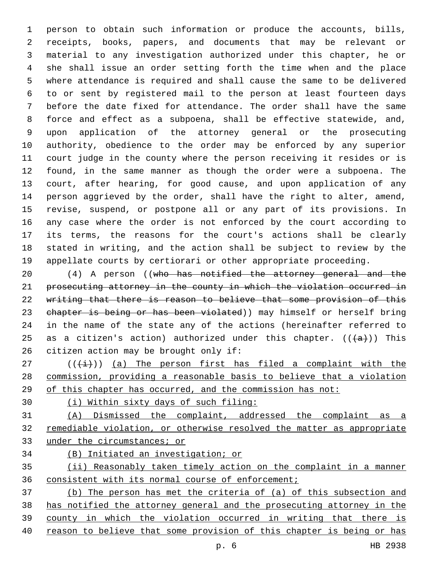person to obtain such information or produce the accounts, bills, receipts, books, papers, and documents that may be relevant or material to any investigation authorized under this chapter, he or she shall issue an order setting forth the time when and the place where attendance is required and shall cause the same to be delivered to or sent by registered mail to the person at least fourteen days before the date fixed for attendance. The order shall have the same force and effect as a subpoena, shall be effective statewide, and, upon application of the attorney general or the prosecuting authority, obedience to the order may be enforced by any superior court judge in the county where the person receiving it resides or is found, in the same manner as though the order were a subpoena. The court, after hearing, for good cause, and upon application of any person aggrieved by the order, shall have the right to alter, amend, revise, suspend, or postpone all or any part of its provisions. In any case where the order is not enforced by the court according to its terms, the reasons for the court's actions shall be clearly stated in writing, and the action shall be subject to review by the appellate courts by certiorari or other appropriate proceeding.

 (4) A person ((who has notified the attorney general and the prosecuting attorney in the county in which the violation occurred in writing that there is reason to believe that some provision of this chapter is being or has been violated)) may himself or herself bring in the name of the state any of the actions (hereinafter referred to 25 as a citizen's action) authorized under this chapter.  $((+a+))$  This 26 citizen action may be brought only if:

 (( $(\frac{1}{1})$ ) (a) The person first has filed a complaint with the commission, providing a reasonable basis to believe that a violation of this chapter has occurred, and the commission has not:

(i) Within sixty days of such filing:

 (A) Dismissed the complaint, addressed the complaint as a remediable violation, or otherwise resolved the matter as appropriate under the circumstances; or

(B) Initiated an investigation; or

 (ii) Reasonably taken timely action on the complaint in a manner consistent with its normal course of enforcement;

 (b) The person has met the criteria of (a) of this subsection and has notified the attorney general and the prosecuting attorney in the county in which the violation occurred in writing that there is reason to believe that some provision of this chapter is being or has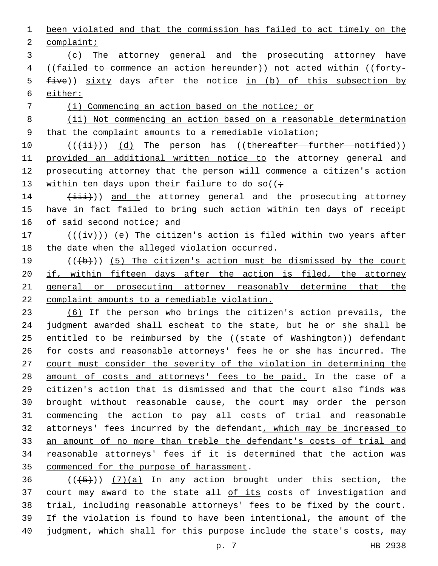1 been violated and that the commission has failed to act timely on the 2 complaint;

3 (c) The attorney general and the prosecuting attorney have 4 ((failed to commence an action hereunder)) not acted within ((forty-5 five)) sixty days after the notice in (b) of this subsection by 6 either:

7 (i) Commencing an action based on the notice; or

8 (ii) Not commencing an action based on a reasonable determination 9 that the complaint amounts to a remediable violation;

10 (( $(i+1)$ ) (d) The person has ((thereafter further notified)) 11 provided an additional written notice to the attorney general and 12 prosecuting attorney that the person will commence a citizen's action 13 within ten days upon their failure to do so( $(i \div)$ 

14 (iii)) and the attorney general and the prosecuting attorney 15 have in fact failed to bring such action within ten days of receipt 16 of said second notice; and

17  $((\overleftrightarrow{iv}))$  (e) The citizen's action is filed within two years after 18 the date when the alleged violation occurred.

 $((+b))$  (5) The citizen's action must be dismissed by the court 20 if, within fifteen days after the action is filed, the attorney general or prosecuting attorney reasonably determine that the complaint amounts to a remediable violation.

 (6) If the person who brings the citizen's action prevails, the judgment awarded shall escheat to the state, but he or she shall be 25 entitled to be reimbursed by the ((state of Washington)) defendant 26 for costs and reasonable attorneys' fees he or she has incurred. The 27 court must consider the severity of the violation in determining the 28 amount of costs and attorneys' fees to be paid. In the case of a citizen's action that is dismissed and that the court also finds was brought without reasonable cause, the court may order the person commencing the action to pay all costs of trial and reasonable attorneys' fees incurred by the defendant, which may be increased to an amount of no more than treble the defendant's costs of trial and reasonable attorneys' fees if it is determined that the action was 35 commenced for the purpose of harassment.

 $((+5+))$   $(7)(a)$  In any action brought under this section, the 37 court may award to the state all of its costs of investigation and trial, including reasonable attorneys' fees to be fixed by the court. If the violation is found to have been intentional, the amount of the judgment, which shall for this purpose include the state's costs, may

p. 7 HB 2938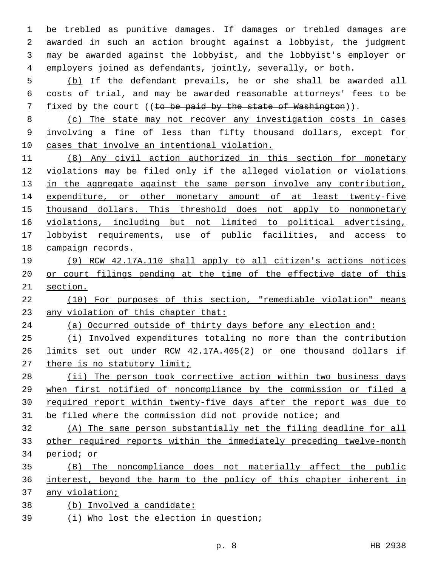be trebled as punitive damages. If damages or trebled damages are awarded in such an action brought against a lobbyist, the judgment may be awarded against the lobbyist, and the lobbyist's employer or employers joined as defendants, jointly, severally, or both.

 (b) If the defendant prevails, he or she shall be awarded all costs of trial, and may be awarded reasonable attorneys' fees to be 7 fixed by the court  $((t_0 + b_0)$  be paid by the state of Washington)).

 (c) The state may not recover any investigation costs in cases involving a fine of less than fifty thousand dollars, except for cases that involve an intentional violation.

 (8) Any civil action authorized in this section for monetary violations may be filed only if the alleged violation or violations 13 in the aggregate against the same person involve any contribution, expenditure, or other monetary amount of at least twenty-five thousand dollars. This threshold does not apply to nonmonetary violations, including but not limited to political advertising, lobbyist requirements, use of public facilities, and access to campaign records.

 (9) RCW 42.17A.110 shall apply to all citizen's actions notices 20 or court filings pending at the time of the effective date of this section.

 (10) For purposes of this section, "remediable violation" means any violation of this chapter that:

(a) Occurred outside of thirty days before any election and:

 (i) Involved expenditures totaling no more than the contribution limits set out under RCW 42.17A.405(2) or one thousand dollars if there is no statutory limit;

28 (ii) The person took corrective action within two business days when first notified of noncompliance by the commission or filed a required report within twenty-five days after the report was due to be filed where the commission did not provide notice; and

 (A) The same person substantially met the filing deadline for all other required reports within the immediately preceding twelve-month period; or

 (B) The noncompliance does not materially affect the public interest, beyond the harm to the policy of this chapter inherent in any violation;

- (b) Involved a candidate:
- (i) Who lost the election in question;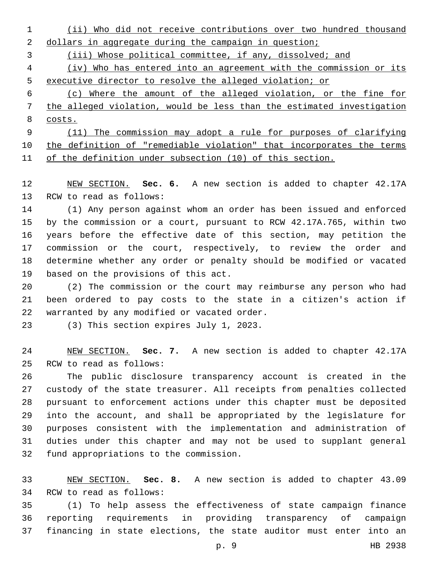(ii) Who did not receive contributions over two hundred thousand 2 dollars in aggregate during the campaign in question;

(iii) Whose political committee, if any, dissolved; and

 (iv) Who has entered into an agreement with the commission or its executive director to resolve the alleged violation; or

 (c) Where the amount of the alleged violation, or the fine for the alleged violation, would be less than the estimated investigation costs.

 (11) The commission may adopt a rule for purposes of clarifying the definition of "remediable violation" that incorporates the terms of the definition under subsection (10) of this section.

 NEW SECTION. **Sec. 6.** A new section is added to chapter 42.17A 13 RCW to read as follows:

 (1) Any person against whom an order has been issued and enforced by the commission or a court, pursuant to RCW 42.17A.765, within two years before the effective date of this section, may petition the commission or the court, respectively, to review the order and determine whether any order or penalty should be modified or vacated 19 based on the provisions of this act.

 (2) The commission or the court may reimburse any person who had been ordered to pay costs to the state in a citizen's action if 22 warranted by any modified or vacated order.

(3) This section expires July 1, 2023.

 NEW SECTION. **Sec. 7.** A new section is added to chapter 42.17A 25 RCW to read as follows:

 The public disclosure transparency account is created in the custody of the state treasurer. All receipts from penalties collected pursuant to enforcement actions under this chapter must be deposited into the account, and shall be appropriated by the legislature for purposes consistent with the implementation and administration of duties under this chapter and may not be used to supplant general 32 fund appropriations to the commission.

 NEW SECTION. **Sec. 8.** A new section is added to chapter 43.09 34 RCW to read as follows:

 (1) To help assess the effectiveness of state campaign finance reporting requirements in providing transparency of campaign financing in state elections, the state auditor must enter into an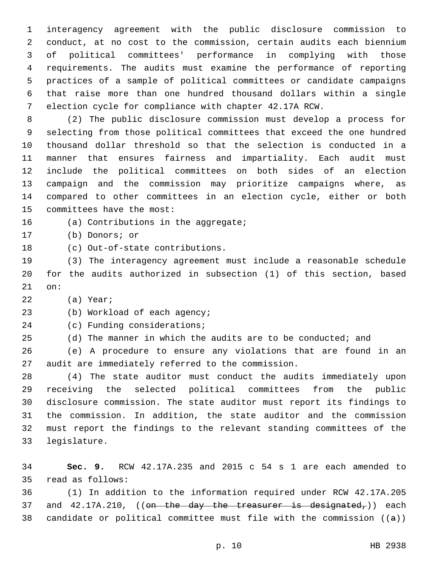interagency agreement with the public disclosure commission to conduct, at no cost to the commission, certain audits each biennium of political committees' performance in complying with those requirements. The audits must examine the performance of reporting practices of a sample of political committees or candidate campaigns that raise more than one hundred thousand dollars within a single election cycle for compliance with chapter 42.17A RCW.

 (2) The public disclosure commission must develop a process for selecting from those political committees that exceed the one hundred thousand dollar threshold so that the selection is conducted in a manner that ensures fairness and impartiality. Each audit must include the political committees on both sides of an election campaign and the commission may prioritize campaigns where, as compared to other committees in an election cycle, either or both 15 committees have the most:

16 (a) Contributions in the aggregate;

17 (b) Donors; or

18 (c) Out-of-state contributions.

 (3) The interagency agreement must include a reasonable schedule for the audits authorized in subsection (1) of this section, based 21 on:

22 (a) Year;

23 (b) Workload of each agency;

24 (c) Funding considerations;

(d) The manner in which the audits are to be conducted; and

 (e) A procedure to ensure any violations that are found in an 27 audit are immediately referred to the commission.

 (4) The state auditor must conduct the audits immediately upon receiving the selected political committees from the public disclosure commission. The state auditor must report its findings to the commission. In addition, the state auditor and the commission must report the findings to the relevant standing committees of the 33 legislature.

 **Sec. 9.** RCW 42.17A.235 and 2015 c 54 s 1 are each amended to 35 read as follows:

 (1) In addition to the information required under RCW 42.17A.205 37 and  $42.17A.210$ , ((on the day the treasurer is designated,)) each 38 candidate or political committee must file with the commission  $((a))$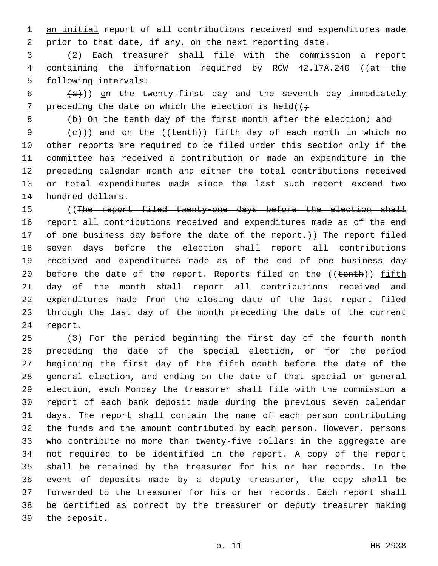1 an initial report of all contributions received and expenditures made prior to that date, if any, on the next reporting date.

 (2) Each treasurer shall file with the commission a report 4 containing the information required by RCW 42.17A.240 ((at the following intervals:

  $(a+)$ ) on the twenty-first day and the seventh day immediately 7 preceding the date on which the election is held( $(i+$ 

8 (b) On the tenth day of the first month after the election; and

 $(e+))$  and on the ((tenth)) fifth day of each month in which no other reports are required to be filed under this section only if the committee has received a contribution or made an expenditure in the preceding calendar month and either the total contributions received or total expenditures made since the last such report exceed two 14 hundred dollars.

15 ((The report filed twenty-one days before the election shall 16 report all contributions received and expenditures made as of the end 17 of one business day before the date of the report.)) The report filed seven days before the election shall report all contributions received and expenditures made as of the end of one business day 20 before the date of the report. Reports filed on the ((tenth)) fifth day of the month shall report all contributions received and expenditures made from the closing date of the last report filed through the last day of the month preceding the date of the current 24 report.

 (3) For the period beginning the first day of the fourth month preceding the date of the special election, or for the period beginning the first day of the fifth month before the date of the general election, and ending on the date of that special or general election, each Monday the treasurer shall file with the commission a report of each bank deposit made during the previous seven calendar days. The report shall contain the name of each person contributing the funds and the amount contributed by each person. However, persons who contribute no more than twenty-five dollars in the aggregate are not required to be identified in the report. A copy of the report shall be retained by the treasurer for his or her records. In the event of deposits made by a deputy treasurer, the copy shall be forwarded to the treasurer for his or her records. Each report shall be certified as correct by the treasurer or deputy treasurer making 39 the deposit.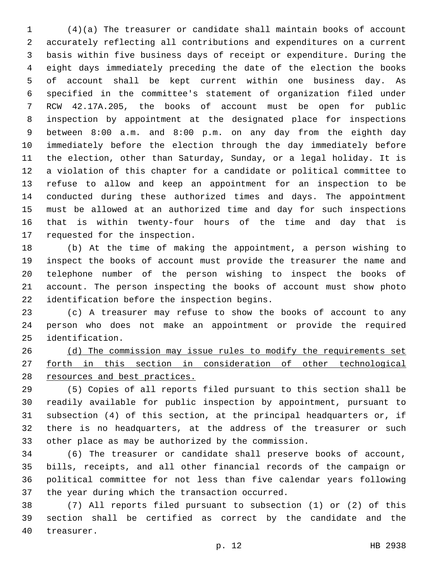(4)(a) The treasurer or candidate shall maintain books of account accurately reflecting all contributions and expenditures on a current basis within five business days of receipt or expenditure. During the eight days immediately preceding the date of the election the books of account shall be kept current within one business day. As specified in the committee's statement of organization filed under RCW 42.17A.205, the books of account must be open for public inspection by appointment at the designated place for inspections between 8:00 a.m. and 8:00 p.m. on any day from the eighth day immediately before the election through the day immediately before the election, other than Saturday, Sunday, or a legal holiday. It is a violation of this chapter for a candidate or political committee to refuse to allow and keep an appointment for an inspection to be conducted during these authorized times and days. The appointment must be allowed at an authorized time and day for such inspections that is within twenty-four hours of the time and day that is 17 requested for the inspection.

 (b) At the time of making the appointment, a person wishing to inspect the books of account must provide the treasurer the name and telephone number of the person wishing to inspect the books of account. The person inspecting the books of account must show photo 22 identification before the inspection begins.

 (c) A treasurer may refuse to show the books of account to any person who does not make an appointment or provide the required identification.25

26 (d) The commission may issue rules to modify the requirements set forth in this section in consideration of other technological resources and best practices.

 (5) Copies of all reports filed pursuant to this section shall be readily available for public inspection by appointment, pursuant to subsection (4) of this section, at the principal headquarters or, if there is no headquarters, at the address of the treasurer or such other place as may be authorized by the commission.

 (6) The treasurer or candidate shall preserve books of account, bills, receipts, and all other financial records of the campaign or political committee for not less than five calendar years following 37 the year during which the transaction occurred.

 (7) All reports filed pursuant to subsection (1) or (2) of this section shall be certified as correct by the candidate and the 40 treasurer.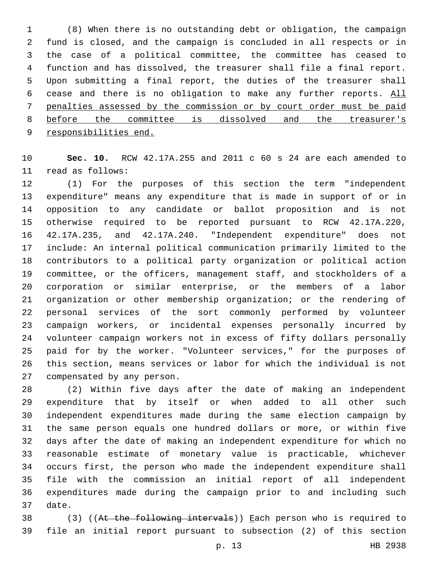(8) When there is no outstanding debt or obligation, the campaign fund is closed, and the campaign is concluded in all respects or in the case of a political committee, the committee has ceased to function and has dissolved, the treasurer shall file a final report. Upon submitting a final report, the duties of the treasurer shall cease and there is no obligation to make any further reports. All penalties assessed by the commission or by court order must be paid before the committee is dissolved and the treasurer's responsibilities end.

 **Sec. 10.** RCW 42.17A.255 and 2011 c 60 s 24 are each amended to 11 read as follows:

 (1) For the purposes of this section the term "independent expenditure" means any expenditure that is made in support of or in opposition to any candidate or ballot proposition and is not otherwise required to be reported pursuant to RCW 42.17A.220, 42.17A.235, and 42.17A.240. "Independent expenditure" does not include: An internal political communication primarily limited to the contributors to a political party organization or political action committee, or the officers, management staff, and stockholders of a corporation or similar enterprise, or the members of a labor organization or other membership organization; or the rendering of personal services of the sort commonly performed by volunteer campaign workers, or incidental expenses personally incurred by volunteer campaign workers not in excess of fifty dollars personally paid for by the worker. "Volunteer services," for the purposes of this section, means services or labor for which the individual is not 27 compensated by any person.

 (2) Within five days after the date of making an independent expenditure that by itself or when added to all other such independent expenditures made during the same election campaign by the same person equals one hundred dollars or more, or within five days after the date of making an independent expenditure for which no reasonable estimate of monetary value is practicable, whichever occurs first, the person who made the independent expenditure shall file with the commission an initial report of all independent expenditures made during the campaign prior to and including such 37 date.

38 (3) ((At the following intervals)) Each person who is required to file an initial report pursuant to subsection (2) of this section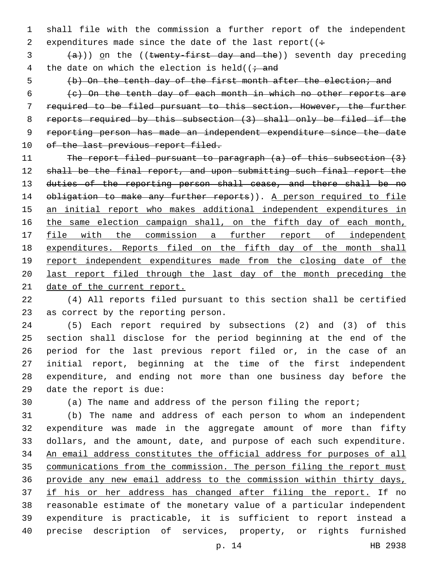shall file with the commission a further report of the independent 2 expenditures made since the date of the last report( $($ :

 $(a+1)$ ) on the ((twenty-first day and the)) seventh day preceding 4 the date on which the election is held( $\left(i\right)$  and

(b) On the tenth day of the first month after the election; and

 (c) On the tenth day of each month in which no other reports are required to be filed pursuant to this section. However, the further reports required by this subsection (3) shall only be filed if the reporting person has made an independent expenditure since the date 10 of the last previous report filed.

11 The report filed pursuant to paragraph (a) of this subsection (3) shall be the final report, and upon submitting such final report the duties of the reporting person shall cease, and there shall be no 14 obligation to make any further reports)). A person required to file an initial report who makes additional independent expenditures in 16 the same election campaign shall, on the fifth day of each month, 17 file with the commission a further report of independent expenditures. Reports filed on the fifth day of the month shall 19 report independent expenditures made from the closing date of the last report filed through the last day of the month preceding the 21 date of the current report.

 (4) All reports filed pursuant to this section shall be certified 23 as correct by the reporting person.

 (5) Each report required by subsections (2) and (3) of this section shall disclose for the period beginning at the end of the period for the last previous report filed or, in the case of an initial report, beginning at the time of the first independent expenditure, and ending not more than one business day before the date the report is due:

(a) The name and address of the person filing the report;

 (b) The name and address of each person to whom an independent expenditure was made in the aggregate amount of more than fifty dollars, and the amount, date, and purpose of each such expenditure. An email address constitutes the official address for purposes of all communications from the commission. The person filing the report must provide any new email address to the commission within thirty days, 37 if his or her address has changed after filing the report. If no reasonable estimate of the monetary value of a particular independent expenditure is practicable, it is sufficient to report instead a precise description of services, property, or rights furnished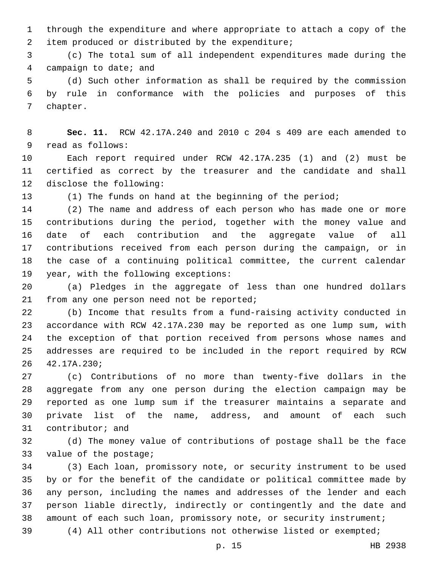through the expenditure and where appropriate to attach a copy of the 2 item produced or distributed by the expenditure;

 (c) The total sum of all independent expenditures made during the 4 campaign to date; and

 (d) Such other information as shall be required by the commission by rule in conformance with the policies and purposes of this 7 chapter.

 **Sec. 11.** RCW 42.17A.240 and 2010 c 204 s 409 are each amended to 9 read as follows:

 Each report required under RCW 42.17A.235 (1) and (2) must be certified as correct by the treasurer and the candidate and shall 12 disclose the following:

(1) The funds on hand at the beginning of the period;

 (2) The name and address of each person who has made one or more contributions during the period, together with the money value and date of each contribution and the aggregate value of all contributions received from each person during the campaign, or in the case of a continuing political committee, the current calendar 19 year, with the following exceptions:

 (a) Pledges in the aggregate of less than one hundred dollars 21 from any one person need not be reported;

 (b) Income that results from a fund-raising activity conducted in accordance with RCW 42.17A.230 may be reported as one lump sum, with the exception of that portion received from persons whose names and addresses are required to be included in the report required by RCW 42.17A.230;26

 (c) Contributions of no more than twenty-five dollars in the aggregate from any one person during the election campaign may be reported as one lump sum if the treasurer maintains a separate and private list of the name, address, and amount of each such 31 contributor; and

 (d) The money value of contributions of postage shall be the face 33 value of the postage;

 (3) Each loan, promissory note, or security instrument to be used by or for the benefit of the candidate or political committee made by any person, including the names and addresses of the lender and each person liable directly, indirectly or contingently and the date and amount of each such loan, promissory note, or security instrument;

(4) All other contributions not otherwise listed or exempted;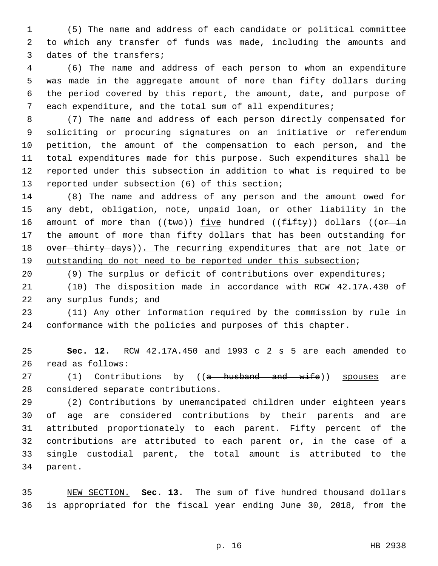(5) The name and address of each candidate or political committee to which any transfer of funds was made, including the amounts and 3 dates of the transfers;

 (6) The name and address of each person to whom an expenditure was made in the aggregate amount of more than fifty dollars during the period covered by this report, the amount, date, and purpose of each expenditure, and the total sum of all expenditures;

 (7) The name and address of each person directly compensated for soliciting or procuring signatures on an initiative or referendum petition, the amount of the compensation to each person, and the total expenditures made for this purpose. Such expenditures shall be reported under this subsection in addition to what is required to be 13 reported under subsection (6) of this section;

 (8) The name and address of any person and the amount owed for any debt, obligation, note, unpaid loan, or other liability in the 16 amount of more than  $(\text{two})$ ) five hundred  $(\text{fifty})$ ) dollars  $(\text{or in}$ 17 the amount of more than fifty dollars that has been outstanding for 18 over thirty days)). The recurring expenditures that are not late or outstanding do not need to be reported under this subsection;

(9) The surplus or deficit of contributions over expenditures;

 (10) The disposition made in accordance with RCW 42.17A.430 of 22 any surplus funds; and

 (11) Any other information required by the commission by rule in conformance with the policies and purposes of this chapter.

 **Sec. 12.** RCW 42.17A.450 and 1993 c 2 s 5 are each amended to 26 read as follows:

27 (1) Contributions by ((a husband and wife)) spouses are 28 considered separate contributions.

 (2) Contributions by unemancipated children under eighteen years of age are considered contributions by their parents and are attributed proportionately to each parent. Fifty percent of the contributions are attributed to each parent or, in the case of a single custodial parent, the total amount is attributed to the 34 parent.

 NEW SECTION. **Sec. 13.** The sum of five hundred thousand dollars is appropriated for the fiscal year ending June 30, 2018, from the